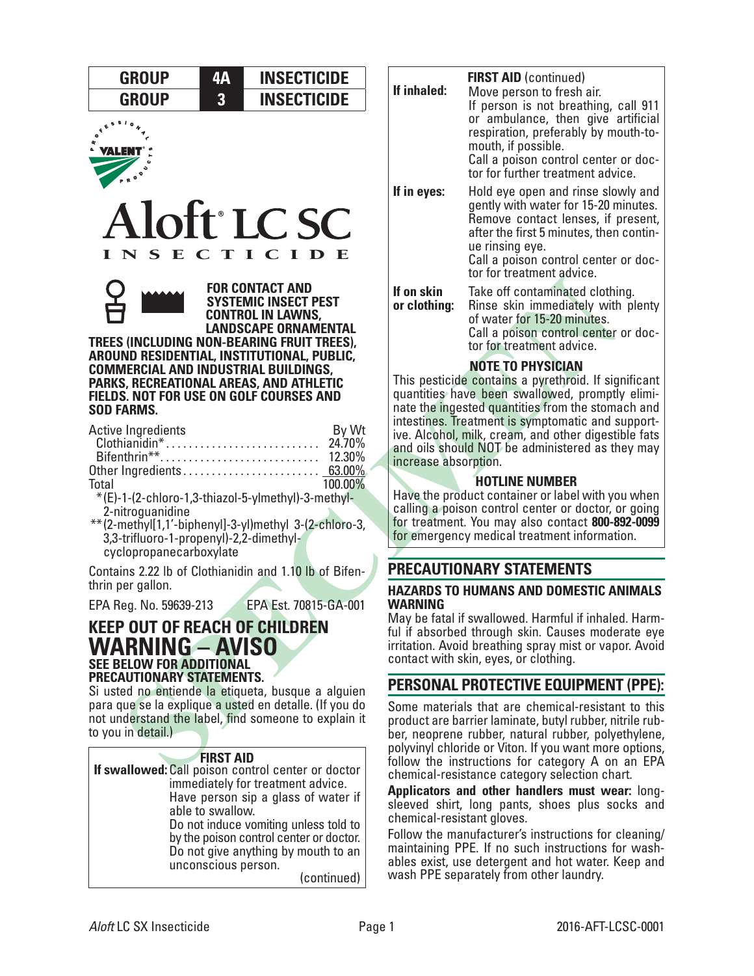| <b>GROUP</b> | <b>INSECTICIDE</b> |
|--------------|--------------------|
| <b>GROUP</b> | <b>INSECTICIDE</b> |







**FOR CONTACT AND SYSTEMIC INSECT PEST CONTROL IN LAWNS, LANDSCAPE ORNAMENTAL** 

**TREES (INCLUDING NON-BEARING FRUIT TREES), AROUND RESIDENTIAL, INSTITUTIONAL, PUBLIC, COMMERCIAL AND INDUSTRIAL BUILDINGS, PARKS, RECREATIONAL AREAS, AND ATHLETIC FIELDS. NOT FOR USE ON GOLF COURSES AND SOD FARMS.**

| Active Ingredients                                             | By Wt   |
|----------------------------------------------------------------|---------|
|                                                                |         |
|                                                                |         |
|                                                                |         |
| Total                                                          | 100.00% |
| $*(F)-1-(2-\text{chlorn}-1.3-\text{thiarn}-5-\text{vlmethn}$ . |         |

\*(E)-1-(2-chloro-1,3-thiazol-5-ylmethyl)-3-methyl-2-nitroguanidine

\*\*(2-methyl[1,1'-biphenyl]-3-yl)methyl 3-(2-chloro-3, 3,3-trifluoro-1-propenyl)-2,2-dimethylcyclopropanecarboxylate

Contains 2.22 lb of Clothianidin and 1.10 lb of Bifenthrin per gallon.

EPA Reg. No. 59639-213 EPA Est. 70815-GA-001

# **KEEP OUT OF REACH OF CHILDREN WARNING – AVISO SEE BELOW FOR ADDITIONAL PRECAUTIONARY STATEMENTS.**

Si usted no entiende la etiqueta, busque a alguien para que se la explique a usted en detalle. (If you do not understand the label, find someone to explain it to you in detail.)



| If inhaled:                | <b>FIRST AID (continued)</b><br>Move person to fresh air.<br>If person is not breathing, call 911<br>or ambulance, then give artificial<br>respiration, preferably by mouth-to-<br>mouth, if possible.<br>Call a poison control center or doc-<br>tor for further treatment advice. |
|----------------------------|-------------------------------------------------------------------------------------------------------------------------------------------------------------------------------------------------------------------------------------------------------------------------------------|
| If in eyes:                | Hold eye open and rinse slowly and<br>gently with water for 15-20 minutes.<br>Remove contact lenses, if present,<br>after the first 5 minutes, then contin-<br>ue rinsing eye.<br>Call a poison control center or doc-<br>tor for treatment advice.                                 |
| If on skin<br>or clothing: | Take off contaminated clothing.<br>Rinse skin immediately with plenty<br>of water for 15-20 minutes.<br>Call a poison control center or doc-<br>tor for treatment advice.                                                                                                           |
|                            | <b>NOTE TO PHYSICIAN</b><br>$\mathbf{r}$ , $\mathbf{r}$ , $\mathbf{r}$ , $\mathbf{r}$ , $\mathbf{r}$ , $\mathbf{r}$ , $\mathbf{r}$                                                                                                                                                  |

This pesticide contains a pyrethroid. If significant quantities have been swallowed, promptly eliminate the ingested quantities from the stomach and intestines. Treatment is symptomatic and supportive. Alcohol, milk, cream, and other digestible fats and oils should NOT be administered as they may increase absorption.

# **HOTLINE NUMBER**

Have the product container or label with you when calling a poison control center or doctor, or going for treatment. You may also contact **800-892-0099** for emergency medical treatment information.

# **PRECAUTIONARY STATEMENTS**

# **HAZARDS TO HUMANS AND DOMESTIC ANIMALS**  WARNING<br>May be fatal if swallowed. Harmful if inhaled. Harm-

ful if absorbed through skin. Causes moderate eye irritation. Avoid breathing spray mist or vapor. Avoid contact with skin, eyes, or clothing.

# **PERSONAL PROTECTIVE EQUIPMENT (PPE):**

Some materials that are chemical-resistant to this product are barrier laminate, butyl rubber, nitrile rubber, neoprene rubber, natural rubber, polyethylene, polyvinyl chloride or Viton. If you want more options, follow the instructions for category A on an EPA chemical-resistance category selection chart.

**Applicators and other handlers must wear:** longsleeved shirt, long pants, shoes plus socks and chemical-resistant gloves.

Follow the manufacturer's instructions for cleaning/ maintaining PPE. If no such instructions for washables exist, use detergent and hot water. Keep and wash PPE separately from other laundry.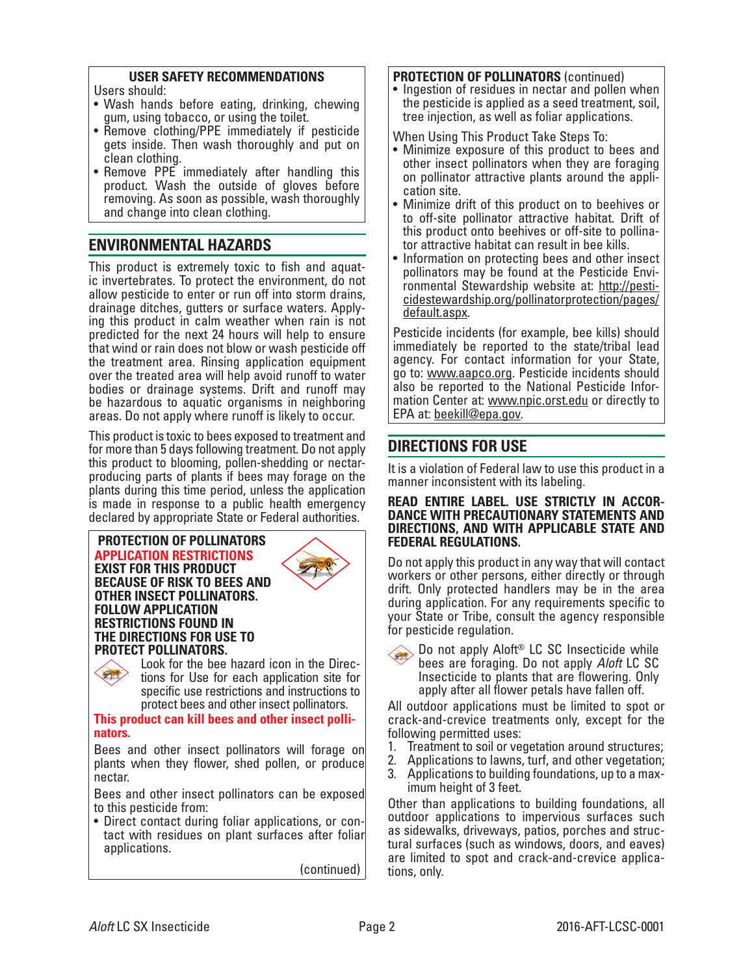### **USER SAFETY RECOMMENDATIONS**

Users should:

- Wash hands before eating, drinking, chewing gum, using tobacco, or using the toilet.
- Remove clothing/PPE immediately if pesticide gets inside. Then wash thoroughly and put on clean clothing.
- Remove PPE immediately after handling this product. Wash the outside of gloves before removing. As soon as possible, wash thoroughly and change into clean clothing.

# **ENVIRONMENTAL HAZARDS**

This product is extremely toxic to fish and aquat- ic invertebrates. To protect the environment, do not allow pesticide to enter or run off into storm drains, drainage ditches, gutters or surface waters. Apply- ing this product in calm weather when rain is not predicted for the next 24 hours will help to ensure that wind or rain does not blow or wash pesticide off the treatment area. Rinsing application equipment over the treated area will help avoid runoff to water bodies or drainage systems. Drift and runoff may be hazardous to aquatic organisms in neighboring areas. Do not apply where runoff is likely to occur.

This product is toxic to bees exposed to treatment and for more than 5 days following treatment. Do not apply this product to blooming, pollen-shedding or nectarproducing parts of plants if bees may forage on the plants during this time period, unless the application is made in response to a public health emergency declared by appropriate State or Federal authorities.

#### **PROTECTION OF POLLINATORS APPLICATION RESTRICTIONS EXIST FOR THIS PRODUCT BECAUSE OF RISK TO BEES AND OTHER INSECT POLLINATORS. FOLLOW APPLICATION RESTRICTIONS FOUND IN THE DIRECTIONS FOR USE TO**





**PROTECT POLLINATORS.**<br>
Look for the bee hazard icon in the Directions for Use for each application site for specific use restrictions and instructions to protect bees and other insect pollinators.

#### **This product can kill bees and other insect pollinators.**

Bees and other insect pollinators will forage on plants when they flower, shed pollen, or produce nectar.

Bees and other insect pollinators can be exposed to this pesticide from:

• Direct contact during foliar applications, or con- tact with residues on plant surfaces after foliar applications.

(continued)

**PROTECTION OF POLLINATORS** (continued)<br>• Ingestion of residues in nectar and pollen when the pesticide is applied as a seed treatment, soil, tree injection, as well as foliar applications.

When Using This Product Take Steps To:

- Minimize exposure of this product to bees and other insect pollinators when they are foraging on pollinator attractive plants around the appli- cation site.
- Minimize drift of this product on to beehives or to off-site pollinator attractive habitat. Drift of this product onto beehives or off-site to pollina- tor attractive habitat can result in bee kills.
- Information on protecting bees and other insect polition may be found at the Pesti-<br>pollinator may be found at the [cidestewardship.org/pollinatorprotection/pages/](http://pesticidestewardship.org/pollinatorprotection/pages/default.aspx) [default.aspx.](http://pesticidestewardship.org/pollinatorprotection/pages/default.aspx)

Pesticide incidents (for example, bee kills) should immediately be reported to the state/tribal lead agency. For contact information for your State, go to: [www.aapco.org.](http://www.aapco.org) Pesticide incidents should also be reported to the National Pesticide Information Center at: [www.npic.orst.edu](http://www.npic.orst.edu) or directly to EPA at: [beekill@epa.gov.](http://beekill@epa.gov)

# **DIRECTIONS FOR USE**

It is a violation of Federal law to use this product in a manner inconsistent with its labeling.

# **READ ENTIRE LABEL. USE STRICTLY IN ACCOR- DANCE WITH PRECAUTIONARY STATEMENTS AND DIRECTIONS, AND WITH APPLICABLE STATE AND FEDERAL REGULATIONS.**

Do not apply this product in any way that will contact workers or other persons, either directly or through drift. Only protected handlers may be in the area during application. For any requirements specific to your State or Tribe, consult the agency responsible for pesticide regulation.

Do not apply Aloft® LC SC Insecticide while bees are foraging. Do not apply *Aloft* LC SC Insecticide to plants that are flowering. Only apply after all flower petals have fallen off.

All outdoor applications must be limited to spot or crack-and-crevice treatments only, except for the following permitted uses:

- 1. Treatment to soil or vegetation around structures;<br>2. Applications to lawns, turf, and other vegetation;
- 2. Applications to lawns, turf, and other vegetation;
- Applications to building foundations, up to a maximum height of 3 feet.

Other than applications to building foundations, all outdoor applications to impervious surfaces such as sidewalks, driveways, patios, porches and structural surfaces (such as windows, doors, and eaves) are limited to spot and crack-and-crevice applica- tions, only.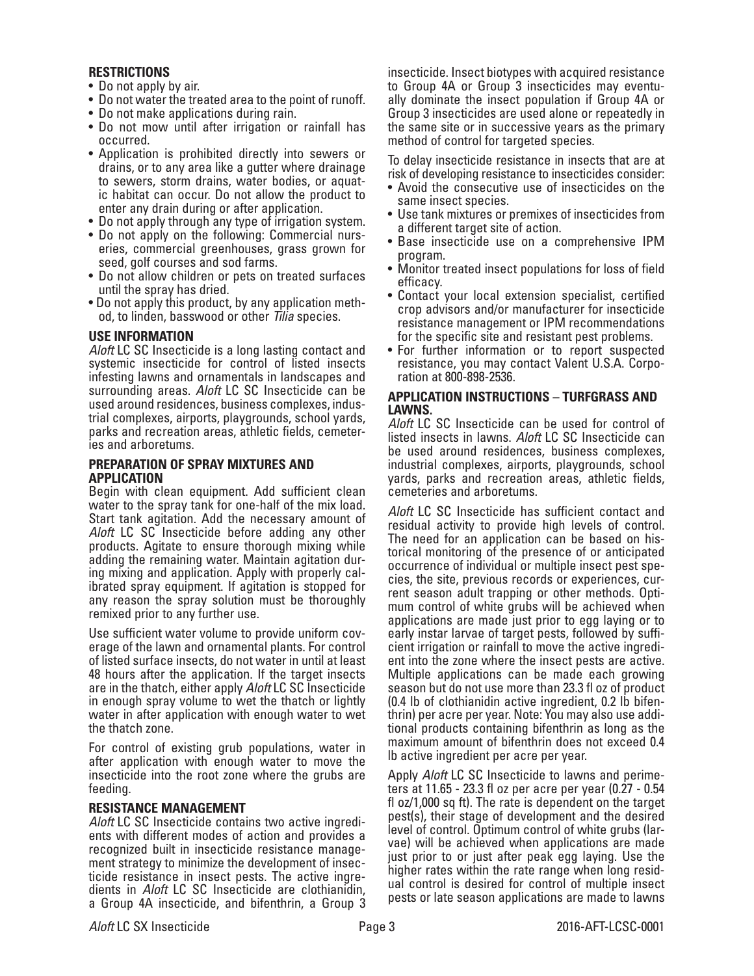#### **RESTRICTIONS**

- Do not apply by air.
- Do not water the treated area to the point of runoff.
- Do not make applications during rain.
- Do not mow until after irrigation or rainfall has occurred.
- Application is prohibited directly into sewers or drains, or to any area like a gutter where drainage to sewers, storm drains, water bodies, or aquatic habitat can occur. Do not allow the product to enter any drain during or after application.
- Do not apply through any type of irrigation system.
- Do not apply on the following: Commercial nurseries, commercial greenhouses, grass grown for seed, golf courses and sod farms.
- Do not allow children or pets on treated surfaces until the spray has dried.
- Do not apply this product, by any application method, to linden, basswood or other *Tilia* species.

#### **USE INFORMATION**

*Aloft* LC SC Insecticide is a long lasting contact and systemic insecticide for control of listed insects infesting lawns and ornamentals in landscapes and surrounding areas. *Aloft* LC SC Insecticide can be used around residences, business complexes, industrial complexes, airports, playgrounds, school yards, parks and recreation areas, athletic fields, cemeteries and arboretums.

#### **PREPARATION OF SPRAY MIXTURES AND APPLICATION**

Begin with clean equipment. Add sufficient clean water to the spray tank for one-half of the mix load. Start tank agitation. Add the necessary amount of *Aloft* LC SC Insecticide before adding any other products. Agitate to ensure thorough mixing while adding the remaining water. Maintain agitation dur- ing mixing and application. Apply with properly cal- ibrated spray equipment. If agitation is stopped for any reason the spray solution must be thoroughly remixed prior to any further use.

Use sufficient water volume to provide uniform coverage of the lawn and ornamental plants. For control of listed surface insects, do not water in until at least 48 hours after the application. If the target insects are in the thatch, either apply *Aloft* LC SC Insecticide in enough spray volume to wet the thatch or lightly water in after application with enough water to wet the thatch zone.

For control of existing grub populations, water in after application with enough water to move the insecticide into the root zone where the grubs are feeding.

#### **RESISTANCE MANAGEMENT**

*Aloft* LC SC Insecticide contains two active ingredients with different modes of action and provides a recognized built in insecticide resistance management strategy to minimize the development of insecticide resistance in insect pests. The active ingre- dients in *Aloft* LC SC Insecticide are clothianidin, a Group 4A insecticide, and bifenthrin, a Group 3 insecticide. Insect biotypes with acquired resistance to Group 4A or Group 3 insecticides may eventually dominate the insect population if Group 4A or Group 3 insecticides are used alone or repeatedly in the same site or in successive years as the primary method of control for targeted species.

To delay insecticide resistance in insects that are at risk of developing resistance to insecticides consider:

- Avoid the consecutive use of insecticides on the same insect species.
- Use tank mixtures or premixes of insecticides from a different target site of action.
- Base insecticide use on a comprehensive IPM program.
- Monitor treated insect populations for loss of field efficacy.
- Contact your local extension specialist, certified crop advisors and/or manufacturer for insecticide resistance management or IPM recommendations for the specific site and resistant pest problems.
- For further information or to report suspected resistance, you may contact Valent U.S.A. Corporation at 800-898-2536.

#### **APPLICATION INSTRUCTIONS – TURFGRASS AND LAWNS.**

*Aloft* LC SC Insecticide can be used for control of listed insects in lawns. *Aloft* LC SC Insecticide can be used around residences, business complexes, industrial complexes, airports, playgrounds, school yards, parks and recreation areas, athletic fields, cemeteries and arboretums.

*Aloft* LC SC Insecticide has sufficient contact and residual activity to provide high levels of control. The need for an application can be based on his- torical monitoring of the presence of or anticipated occurrence of individual or multiple insect pest spe-<br>cies, the site, previous records or experiences, cur-<br>rent season adult trapping or other methods. Opti-<br>mum control of white grubs will be achieved when applications are made just prior to egg laying or to early instar larvae of target pests, followed by sufficient irrigation or rainfall to move the active ingredient into the zone where the insect pests are active. Multiple applications can be made each growing season but do not use more than 23.3 fl oz of product (0.4 lb of clothianidin active ingredient, 0.2 lb bifenthrin) per acre per year. Note: You may also use additional products containing bifenthrin as long as the maximum amount of bifenthrin does not exceed 0.4 lb active ingredient per acre per year.

Apply *Aloft* LC SC Insecticide to lawns and perimeters at 11.65 - 23.3 fl oz per acre per year (0.27 - 0.54 fl oz/1,000 sq ft). The rate is dependent on the target pest(s), their stage of development and the desired level of control. Optimum control of white grubs (larvae) will be achieved when applications are made just prior to or just after peak egg laying. Use the higher rates within the rate range when long residual control is desired for control of multiple insect pests or late season applications are made to lawns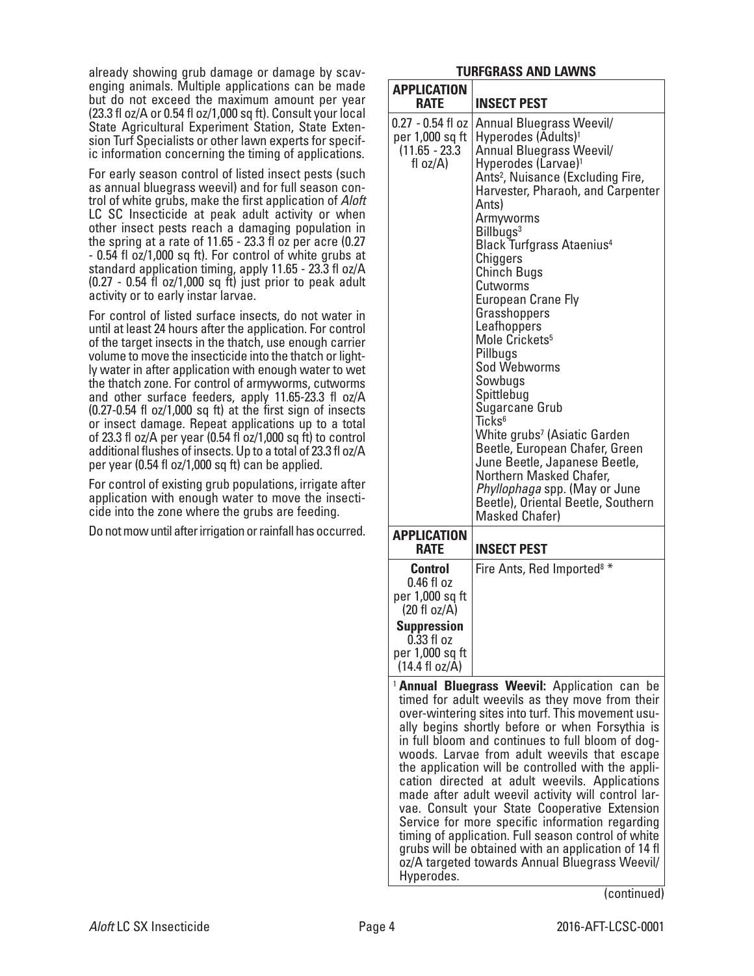already showing grub damage or damage by scavenging animals. Multiple applications can be made but do not exceed the maximum amount per year (23.3 fl oz/A or 0.54 fl oz/1,000 sq ft). Consult your local State Agricultural Experiment Station, State Extension Turf Specialists or other lawn experts for specific information concerning the timing of applications.

For early season control of listed insect pests (such as annual bluegrass weevil) and for full season control of white grubs, make the first application of *Aloft* LC SC Insecticide at peak adult activity or when other insect pests reach a damaging population in the spring at a rate of 11.65 - 23.3 fl oz per acre (0.27 - 0.54 fl oz/1,000 sq ft). For control of white grubs at standard application timing, apply 11.65 - 23.3 fl oz/A (0.27 - 0.54 fl oz/1,000 sq ft) just prior to peak adult activity or to early instar larvae.

For control of listed surface insects, do not water in until at least 24 hours after the application. For control of the target insects in the thatch, use enough carrier volume to move the insecticide into the thatch or lightly water in after application with enough water to wet the thatch zone. For control of armyworms, cutworms and other surface feeders, apply 11.65-23.3 fl oz/A (0.27-0.54 fl oz/1,000 sq ft) at the first sign of insects or insect damage. Repeat applications up to a total of 23.3 fl oz/A per year (0.54 fl oz/1,000 sq ft) to control additional flushes of insects. Up to a total of 23.3 fl oz/A per year (0.54 fl oz/1,000 sq ft) can be applied.

For control of existing grub populations, irrigate after application with enough water to move the insecti- cide into the zone where the grubs are feeding.

Do not mow until after irrigation or rainfall has occurred.

## **TURFGRASS AND LAWNS**

| <b>APPLICATION</b>                                                                                                                                   |                                                                                                                                                                                                                                                                                                                                                                                                                                                                                                                                                                                                                                                                                                                                                                                    |
|------------------------------------------------------------------------------------------------------------------------------------------------------|------------------------------------------------------------------------------------------------------------------------------------------------------------------------------------------------------------------------------------------------------------------------------------------------------------------------------------------------------------------------------------------------------------------------------------------------------------------------------------------------------------------------------------------------------------------------------------------------------------------------------------------------------------------------------------------------------------------------------------------------------------------------------------|
| <b>RATE</b>                                                                                                                                          | <b>INSECT PEST</b>                                                                                                                                                                                                                                                                                                                                                                                                                                                                                                                                                                                                                                                                                                                                                                 |
| $0.27 - 0.54$ fl oz<br>per 1,000 sq ft<br>$(11.65 - 23.3)$<br>fl $oz/A$ )                                                                            | Annual Bluegrass Weevil/<br>Hyperodes (Adults) <sup>1</sup><br>Annual Bluegrass Weevil/<br>Hyperodes (Larvae) <sup>1</sup><br>Ants <sup>2</sup> , Nuisance (Excluding Fire,<br>Harvester, Pharaoh, and Carpenter<br>Ants)<br>Armyworms<br>Billbugs <sup>3</sup><br><b>Black Turfgrass Ataenius4</b><br>Chiggers<br><b>Chinch Bugs</b><br>Cutworms<br><b>European Crane Fly</b><br>Grasshoppers<br>Leafhoppers<br>Mole Crickets <sup>5</sup><br>Pillbugs<br>Sod Webworms<br>Sowbugs<br>Spittlebug<br>Sugarcane Grub<br>Ticks <sup>6</sup><br>White grubs <sup>7</sup> (Asiatic Garden<br>Beetle, European Chafer, Green<br>June Beetle, Japanese Beetle,<br>Northern Masked Chafer,<br>Phyllophaga spp. (May or June<br>Beetle), Oriental Beetle, Southern<br><b>Masked Chafer)</b> |
| <b>APPLICATION</b><br><b>RATE</b>                                                                                                                    | <b>INSECT PEST</b>                                                                                                                                                                                                                                                                                                                                                                                                                                                                                                                                                                                                                                                                                                                                                                 |
| <b>Control</b><br>0.46 fl oz<br>per 1,000 sq ft<br>$(20 \text{ fl oz/A})$<br><b>Suppression</b><br>$0.33$ fl oz<br>per 1,000 sq ft<br>(14.4 fl oz/A) | Fire Ants, Red Imported <sup>8 *</sup>                                                                                                                                                                                                                                                                                                                                                                                                                                                                                                                                                                                                                                                                                                                                             |
|                                                                                                                                                      |                                                                                                                                                                                                                                                                                                                                                                                                                                                                                                                                                                                                                                                                                                                                                                                    |
| Hyperodes.                                                                                                                                           | <sup>1</sup> Annual Bluegrass Weevil: Application can be<br>timed for adult weevils as they move from their<br>over-wintering sites into turf. This movement usu-<br>ally begins shortly before or when Forsythia is<br>in full bloom and continues to full bloom of dog-<br>woods. Larvae from adult weevils that escape<br>the application will be controlled with the appli-<br>cation directed at adult weevils. Applications<br>made after adult weevil activity will control lar-<br>vae. Consult your State Cooperative Extension<br>Service for more specific information regarding<br>timing of application. Full season control of white<br>grubs will be obtained with an application of 14 fl<br>oz/A targeted towards Annual Bluegrass Weevil/<br>(continued)         |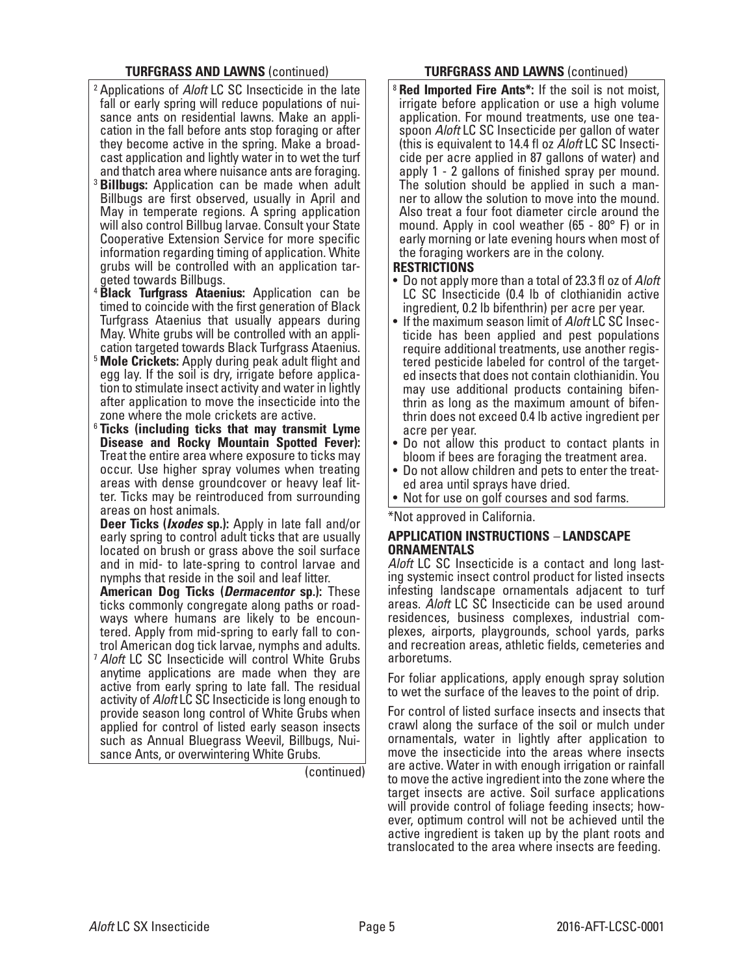### **TURFGRASS AND LAWNS** (continued)

- <sup>2</sup> Applications of *Aloft* LC SC Insecticide in the late fall or early spring will reduce populations of nui- sance ants on residential lawns. Make an application in the fall before ants stop foraging or after they become active in the spring. Make a broadcast application and lightly water in to wet the turf and thatch area where nuisance ants are foraging.
- <sup>3</sup> **Billbugs:** Application can be made when adult Billbugs are first observed, usually in April and May in temperate regions. A spring application will also control Billbug larvae. Consult your State Cooperative Extension Service for more specific information regarding timing of application. White grubs will be controlled with an application targeted towards Billbugs.
- <sup>4</sup> **Black Turfgrass Ataenius:** Application can be timed to coincide with the first generation of Black Turfgrass Ataenius that usually appears during May. White grubs will be controlled with an application targeted towards Black Turfgrass Ataenius.
- <sup>5</sup> **Mole Crickets:** Apply during peak adult flight and egg lay. If the soil is dry, irrigate before application to stimulate insect activity and water in lightly after application to move the insecticide into the zone where the mole crickets are active.
- <sup>6</sup> **Ticks (including ticks that may transmit Lyme Disease and Rocky Mountain Spotted Fever):** Treat the entire area where exposure to ticks may occur. Use higher spray volumes when treating areas with dense groundcover or heavy leaf litter. Ticks may be reintroduced from surrounding areas on host animals.

**Deer Ticks (***Ixodes* **sp.):** Apply in late fall and/or early spring to control adult ticks that are usually located on brush or grass above the soil surface and in mid- to late-spring to control larvae and nymphs that reside in the soil and leaf litter.

**American Dog Ticks (***Dermacentor* **sp.):** These ways where humans are likely to be encoun-<br>tered. Apply from mid-spring to early fall to con-<br>trol American dog tick larvae, nymphs and adults. <sup>7</sup> *Aloft* LC SC Insecticide will control White Grubs anytime applications are made when they are active from early spring to late fall. The residual activity of *Aloft* LC SC Insecticide is long enough to provide season long control of White Grubs when applied for control of listed early season insects such as Annual Bluegrass Weevil, Billbugs, Nuisance Ants, or overwintering White Grubs.

(continued)

### **TURFGRASS AND LAWNS** (continued)

<sup>8</sup> **Red Imported Fire Ants\*:** If the soil is not moist, irrigate before application or use a high volume application. For mound treatments, use one teaspoon *Aloft* LC SC Insecticide per gallon of water (this is equivalent to 14.4 fl oz *Aloft* LC SC Insecticide per acre applied in 87 gallons of water) and apply 1 - 2 gallons of finished spray per mound. The solution should be applied in such a manner to allow the solution to move into the mound. Also treat a four foot diameter circle around the mound. Apply in cool weather (65 - 80° F) or in early morning or late evening hours when most of the foraging workers are in the colony.

#### **RESTRICTIONS**

- Do not apply more than a total of 23.3 fl oz of *Aloft* LC SC Insecticide (0.4 lb of clothianidin active ingredient, 0.2 lb bifenthrin) per acre per year.
- If the maximum season limit of *Aloft* LC SC Insecticide has been applied and pest populations require additional treatments, use another registered pesticide labeled for control of the targeted insects that does not contain clothianidin. You may use additional products containing bifenthrin as long as the maximum amount of bifenthrin does not exceed 0.4 lb active ingredient per acre per year.
- Do not allow this product to contact plants in bloom if bees are foraging the treatment area.
- Do not allow children and pets to enter the treated area until sprays have dried.
- Not for use on golf courses and sod farms.

\*Not approved in California.

#### **APPLICATION INSTRUCTIONS** *–* **LANDSCAPE ORNAMENTALS**

*Aloft* LC SC Insecticide is a contact and long last- ing systemic insect control product for listed insects infesting landscape ornamentals adjacent to turf areas. *Aloft* LC SC Insecticide can be used around residences, business complexes, industrial complexes, airports, playgrounds, school yards, parks and recreation areas, athletic fields, cemeteries and arboretums.

For foliar applications, apply enough spray solution to wet the surface of the leaves to the point of drip.

For control of listed surface insects and insects that crawl along the surface of the soil or mulch under ornamentals, water in lightly after application to move the insecticide into the areas where insects are active. Water in with enough irrigation or rainfall to move the active ingredient into the zone where the target insects are active. Soil surface applications will provide control of foliage feeding insects; however, optimum control will not be achieved until the active ingredient is taken up by the plant roots and translocated to the area where insects are feeding.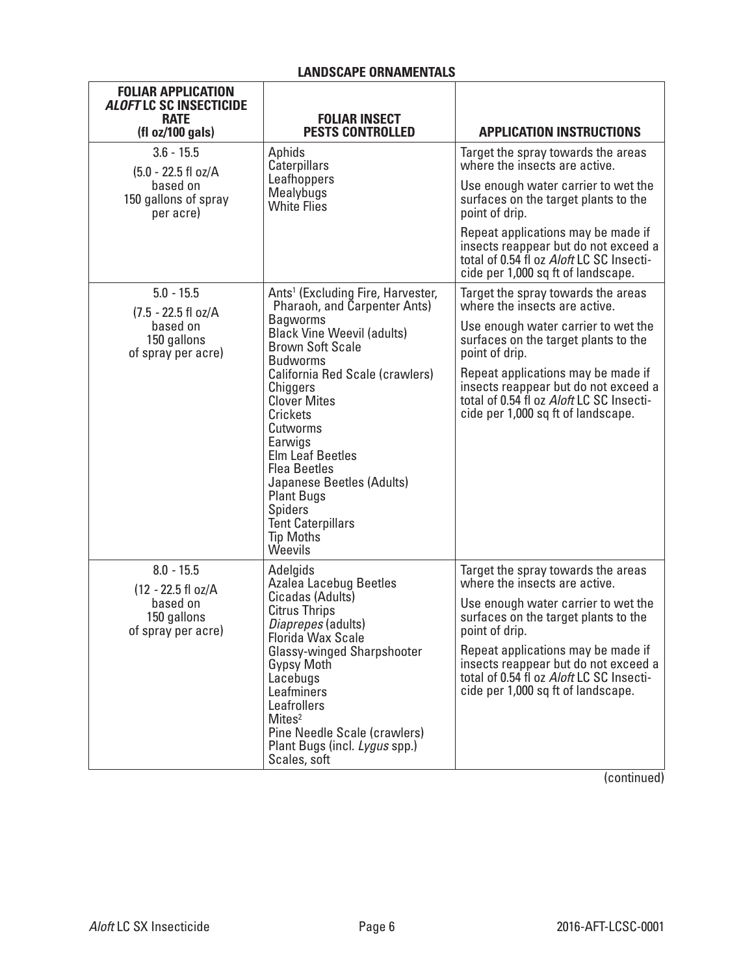# **LANDSCAPE ORNAMENTALS**

| <b>FOLIAR APPLICATION</b><br><b>ALOFT LC SC INSECTICIDE</b><br><b>RATE</b><br>(fl oz/100 gals) | <b>FOLIAR INSECT</b><br><b>PESTS CONTROLLED</b>                                                                                                                                                                                                                                                      | <b>APPLICATION INSTRUCTIONS</b>                                                                                                                              |
|------------------------------------------------------------------------------------------------|------------------------------------------------------------------------------------------------------------------------------------------------------------------------------------------------------------------------------------------------------------------------------------------------------|--------------------------------------------------------------------------------------------------------------------------------------------------------------|
| $3.6 - 15.5$<br>(5.0 - 22.5 fl oz/A                                                            | Aphids<br>Caterpillars<br>Leafhoppers<br>Mealybugs<br><b>White Flies</b>                                                                                                                                                                                                                             | Target the spray towards the areas<br>where the insects are active.                                                                                          |
| based on<br>150 gallons of spray<br>per acre)                                                  |                                                                                                                                                                                                                                                                                                      | Use enough water carrier to wet the<br>surfaces on the target plants to the<br>point of drip.                                                                |
|                                                                                                |                                                                                                                                                                                                                                                                                                      | Repeat applications may be made if<br>insects reappear but do not exceed a<br>total of 0.54 fl oz Aloft LC SC Insecti-<br>cide per 1,000 sq ft of landscape. |
| $5.0 - 15.5$<br>(7.5 - 22.5 fl oz/A                                                            | Ants <sup>1</sup> (Excluding Fire, Harvester,<br>Pharaoh, and Carpenter Ants)                                                                                                                                                                                                                        | Target the spray towards the areas<br>where the insects are active.                                                                                          |
| based on<br>150 gallons<br>of spray per acre)                                                  | <b>Bagworms</b><br><b>Black Vine Weevil (adults)</b><br><b>Brown Soft Scale</b><br><b>Budworms</b>                                                                                                                                                                                                   | Use enough water carrier to wet the<br>surfaces on the target plants to the<br>point of drip.                                                                |
|                                                                                                | California Red Scale (crawlers)<br>Chiggers<br><b>Clover Mites</b><br>Crickets<br>Cutworms<br>Earwigs<br><b>Elm Leaf Beetles</b><br><b>Flea Beetles</b><br>Japanese Beetles (Adults)<br><b>Plant Bugs</b><br><b>Spiders</b><br><b>Tent Caterpillars</b><br><b>Tip Moths</b><br>Weevils               | Repeat applications may be made if<br>insects reappear but do not exceed a<br>total of 0.54 fl oz Aloft LC SC Insecti-<br>cide per 1,000 sq ft of landscape. |
| $8.0 - 15.5$<br>(12 - 22.5 fl oz/A                                                             | Adelgids<br><b>Azalea Lacebug Beetles</b>                                                                                                                                                                                                                                                            | Target the spray towards the areas<br>where the insects are active.                                                                                          |
| based on<br>150 gallons<br>of spray per acre)                                                  | Cicadas (Adults)<br><b>Citrus Thrips</b><br>Diaprepes (adults)<br><b>Florida Wax Scale</b><br><b>Glassy-winged Sharpshooter</b><br><b>Gypsy Moth</b><br>Lacebugs<br>Leafminers<br>Leafrollers<br>Mites <sup>2</sup><br>Pine Needle Scale (crawlers)<br>Plant Bugs (incl. Lygus spp.)<br>Scales, soft | Use enough water carrier to wet the<br>surfaces on the target plants to the<br>point of drip.                                                                |
|                                                                                                |                                                                                                                                                                                                                                                                                                      | Repeat applications may be made if<br>insects reappear but do not exceed a<br>total of 0.54 fl oz Aloft LC SC Insecti-<br>cide per 1,000 sq ft of landscape. |

(continued)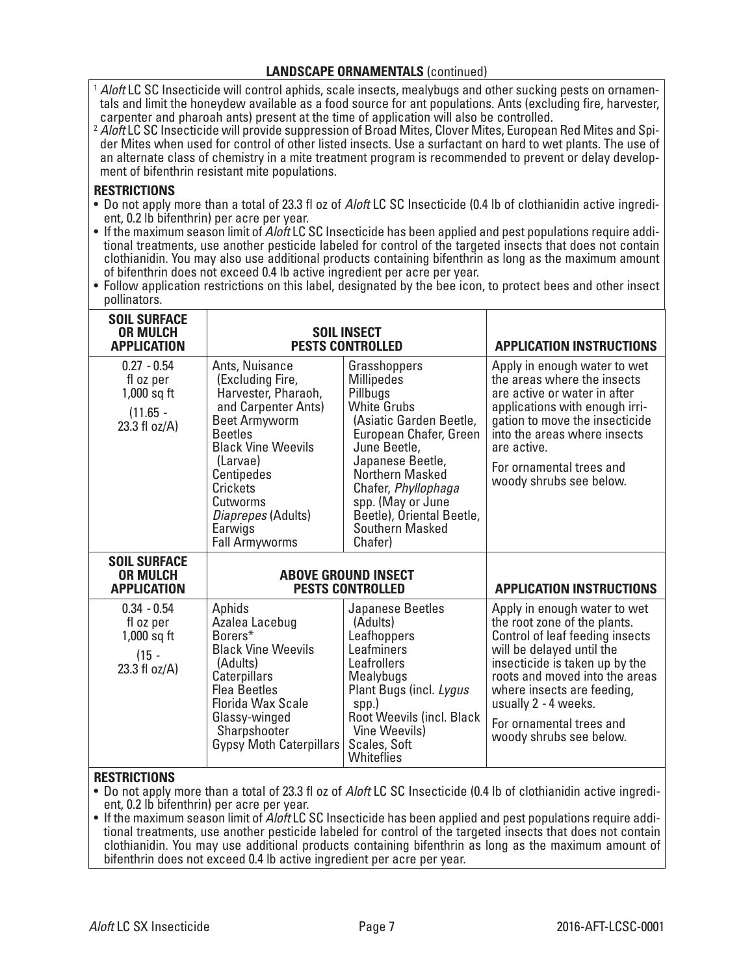### **LANDSCAPE ORNAMENTALS** (continued)

<sup>1</sup> *Aloft* LC SC Insecticide will control aphids, scale insects, mealybugs and other sucking pests on ornamen- tals and limit the honeydew available as a food source for ant populations. Ants (excluding fire, harvester, carpenter and pharoah ants) present at the time of application will also be controlled.

<sup>2</sup> *Aloft* LC SC Insecticide will provide suppression of Broad Mites, Clover Mites, European Red Mites and Spider Mites when used for control of other listed insects. Use a surfactant on hard to wet plants. The use of an alternate class of chemistry in a mite treatment program is recommended to prevent or delay development of bifenthrin resistant mite populations.

## **RESTRICTIONS**

- Do not apply more than a total of 23.3 fl oz of *Aloft* LC SC Insecticide (0.4 lb of clothianidin active ingredi- ent, 0.2 lb bifenthrin) per acre per year.
- tional treatments, use another pesticide labeled for control of the targeted insects that does not contain clothianidin. You may also use additional products containing bifenthrin as long as the maximum amount of bifenthrin does not exceed 0.4 lb active ingredient per acre per year.
- Follow application restrictions on this label, designated by the bee icon, to protect bees and other insect pollinators.

| <b>SOIL SURFACE</b><br><b>OR MULCH</b><br><b>APPLICATION</b>               | <b>SOIL INSECT</b><br><b>PESTS CONTROLLED</b>                                                                                                                                                                                                                       |                                                                                                                                                                                                                                                                                        | <b>APPLICATION INSTRUCTIONS</b>                                                                                                                                                                                                                                                                               |
|----------------------------------------------------------------------------|---------------------------------------------------------------------------------------------------------------------------------------------------------------------------------------------------------------------------------------------------------------------|----------------------------------------------------------------------------------------------------------------------------------------------------------------------------------------------------------------------------------------------------------------------------------------|---------------------------------------------------------------------------------------------------------------------------------------------------------------------------------------------------------------------------------------------------------------------------------------------------------------|
| $0.27 - 0.54$<br>fl oz per<br>$1,000$ sq ft<br>$(11.65 -$<br>23.3 fl oz/A) | Ants, Nuisance<br>(Excluding Fire,<br>Harvester, Pharaoh,<br>and Carpenter Ants)<br><b>Beet Armyworm</b><br><b>Beetles</b><br><b>Black Vine Weevils</b><br>(Larvae)<br>Centipedes<br>Crickets<br>Cutworms<br>Diaprepes (Adults)<br>Earwigs<br><b>Fall Armyworms</b> | Grasshoppers<br><b>Millipedes</b><br>Pillbugs<br><b>White Grubs</b><br>(Asiatic Garden Beetle,<br>European Chafer, Green<br>June Beetle,<br>Japanese Beetle,<br>Northern Masked<br>Chafer, Phyllophaga<br>spp. (May or June<br>Beetle), Oriental Beetle,<br>Southern Masked<br>Chafer) | Apply in enough water to wet<br>the areas where the insects<br>are active or water in after<br>applications with enough irri-<br>gation to move the insecticide<br>into the areas where insects<br>are active.<br>For ornamental trees and<br>woody shrubs see below.                                         |
| <b>SOIL SURFACE</b><br><b>OR MULCH</b><br><b>APPLICATION</b>               | <b>ABOVE GROUND INSECT</b><br><b>PESTS CONTROLLED</b>                                                                                                                                                                                                               |                                                                                                                                                                                                                                                                                        | <b>APPLICATION INSTRUCTIONS</b>                                                                                                                                                                                                                                                                               |
| $0.34 - 0.54$<br>fl oz per<br>$1,000$ sq ft<br>$(15 -$<br>23.3 fl $oz/A$ ) | Aphids<br>Azalea Lacebug<br>Borers*<br><b>Black Vine Weevils</b><br>(Adults)<br>Caterpillars<br><b>Flea Beetles</b><br><b>Florida Wax Scale</b><br>Glassy-winged<br>Sharpshooter<br><b>Gypsy Moth Caterpillars</b>                                                  | Japanese Beetles<br>(Adults)<br>Leafhoppers<br>Leafminers<br>Leafrollers<br>Mealybugs<br>Plant Bugs (incl. Lygus<br>spp.)<br><b>Root Weevils (incl. Black</b><br>Vine Weevils)<br>Scales, Soft<br>Whiteflies                                                                           | Apply in enough water to wet<br>the root zone of the plants.<br>Control of leaf feeding insects<br>will be delayed until the<br>insecticide is taken up by the<br>roots and moved into the areas<br>where insects are feeding,<br>usually 2 - 4 weeks.<br>For ornamental trees and<br>woody shrubs see below. |

## **RESTRICTIONS**

• Do not apply more than a total of 23.3 fl oz of *Aloft* LC SC Insecticide (0.4 lb of clothianidin active ingredi- ent, 0.2 lb bifenthrin) per acre per year.

tional treatments, use another pesticide labeled for control of the targeted insects that does not contain clothianidin. You may use additional products containing bifenthrin as long as the maximum amount of bifenthrin does not exceed 0.4 lb active ingredient per acre per year.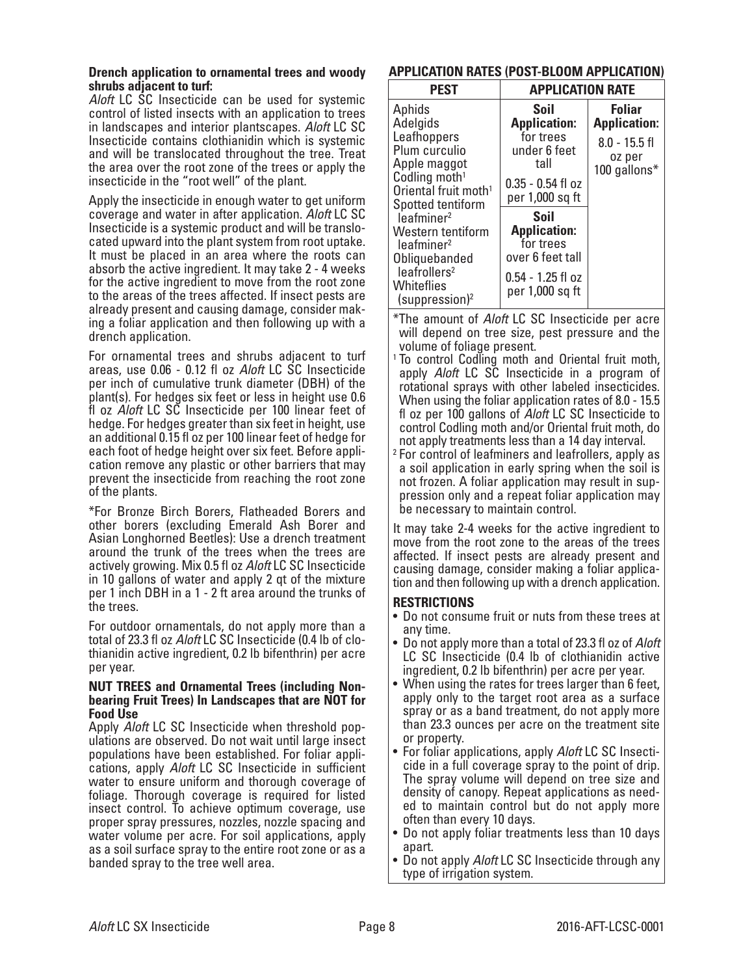#### **Drench application to ornamental trees and woody shrubs adjacent to turf:**

*Aloft* LC SC Insecticide can be used for systemic control of listed insects with an application to trees in landscapes and interior plantscapes. *Aloft* LC SC Insecticide contains clothianidin which is systemic and will be translocated throughout the tree. Treat the area over the root zone of the trees or apply the insecticide in the "root well" of the plant.

Apply the insecticide in enough water to get uniform coverage and water in after application. *Aloft* LC SC cated upward into the plant system from root uptake. It must be placed in an area where the roots can absorb the active ingredient. It may take 2 - 4 weeks for the active ingredient to move from the root zone to the areas of the trees affected. If insect pests are already present and causing damage, consider making a foliar application and then following up with a drench application.

For ornamental trees and shrubs adjacent to turf areas, use 0.06 - 0.12 fl oz *Aloft* LC SC Insecticide per inch of cumulative trunk diameter (DBH) of the plant(s). For hedges six feet or less in height use 0.6 fl oz *Aloft* LC SC Insecticide per 100 linear feet of hedge. For hedges greater than six feet in height, use an additional 0.15 fl oz per 100 linear feet of hedge for each foot of hedge height over six feet. Before appli- cation remove any plastic or other barriers that may prevent the insecticide from reaching the root zone of the plants.

\*For Bronze Birch Borers, Flatheaded Borers and other borers (excluding Emerald Ash Borer and Asian Longhorned Beetles): Use a drench treatment around the trunk of the trees when the trees are actively growing. Mix 0.5 fl oz *Aloft* LC SC Insecticide in 10 gallons of water and apply 2 qt of the mixture per 1 inch DBH in a 1 - 2 ft area around the trunks of the trees.

For outdoor ornamentals, do not apply more than a total of 23.3 fl oz *Aloft* LC SC Insecticide (0.4 lb of clo- thianidin active ingredient, 0.2 lb bifenthrin) per acre per year.

#### **NUT TREES and Ornamental Trees (including Nonbearing Fruit Trees) In Landscapes that are NOT for Food Use**

Apply *Aloft* LC SC Insecticide when threshold pop- ulations are observed. Do not wait until large insect populations have been established. For foliar appli- cations, apply *Aloft* LC SC Insecticide in sufficient water to ensure uniform and thorough coverage of foliage. Thorough coverage is required for listed insect control. To achieve optimum coverage, use proper spray pressures, nozzles, nozzle spacing and water volume per acre. For soil applications, apply as a soil surface spray to the entire root zone or as a banded spray to the tree well area.

## **APPLICATION RATES (POST-BLOOM APPLICATION)**

| <b>PEST</b>                                                                                                                                                                               | <b>APPLICATION RATE</b>                                                                                    |                                                                                   |  |
|-------------------------------------------------------------------------------------------------------------------------------------------------------------------------------------------|------------------------------------------------------------------------------------------------------------|-----------------------------------------------------------------------------------|--|
| Aphids<br>Adelgids<br>Leafhoppers<br>Plum curculio<br>Apple maggot<br>Codling moth <sup>1</sup><br>Oriental fruit moth <sup>1</sup>                                                       | Soil<br><b>Application:</b><br>for trees<br>under 6 feet<br>tall<br>$0.35 - 0.54$ fl oz<br>per 1,000 sq ft | <b>Foliar</b><br><b>Application:</b><br>$8.0 - 15.5$ fl<br>oz per<br>100 gallons* |  |
| Spotted tentiform<br>leafmine <sup>2</sup><br>Western tentiform<br>leafminer <sup>2</sup><br>Obliquebanded<br>leafrollers <sup>2</sup><br><b>Whiteflies</b><br>(suppression) <sup>2</sup> | Soil<br><b>Application:</b><br>for trees<br>over 6 feet tall<br>$0.54 - 1.25$ fl oz<br>per 1,000 sq ft     |                                                                                   |  |

\*The amount of *Aloft* LC SC Insecticide per acre will depend on tree size, pest pressure and the volume of foliage present.

- <sup>1</sup> To control Codling moth and Oriental fruit moth, apply *Aloft* LC SC Insecticide in a program of rotational sprays with other labeled insecticides. When using the foliar application rates of 8.0 - 15.5 fl oz per 100 gallons of *Aloft* LC SC Insecticide to control Codling moth and/or Oriental fruit moth, do not apply treatments less than a 14 day interval.
- <sup>2</sup> For control of leafminers and leafrollers, apply as a soil application in early spring when the soil is not frozen. A foliar application may result in suppression only and a repeat foliar application may be necessary to maintain control.

It may take 2-4 weeks for the active ingredient to move from the root zone to the areas of the trees affected. If insect pests are already present and<br>causing damage, consider making a foliar application and then following up with a drench application.

## **RESTRICTIONS**

- Do not consume fruit or nuts from these trees at any time.
- Do not apply more than a total of 23.3 fl oz of *Aloft* LC SC Insecticide (0.4 lb of clothianidin active ingredient, 0.2 lb bifenthrin) per acre per year.
- When using the rates for trees larger than 6 feet, apply only to the target root area as a surface spray or as a band treatment, do not apply more than 23.3 ounces per acre on the treatment site
- or property.<br>• For foliar applications, apply Aloft LC SC Insecti $i$  cide in a full coverage spray to the point of drip. The spray volume will depend on tree size and density of canopy. Repeat applications as needed to maintain control but do not apply more often than every 10 days.
- Do not apply foliar treatments less than 10 days apart.
- Do not apply *Aloft* LC SC Insecticide through any type of irrigation system.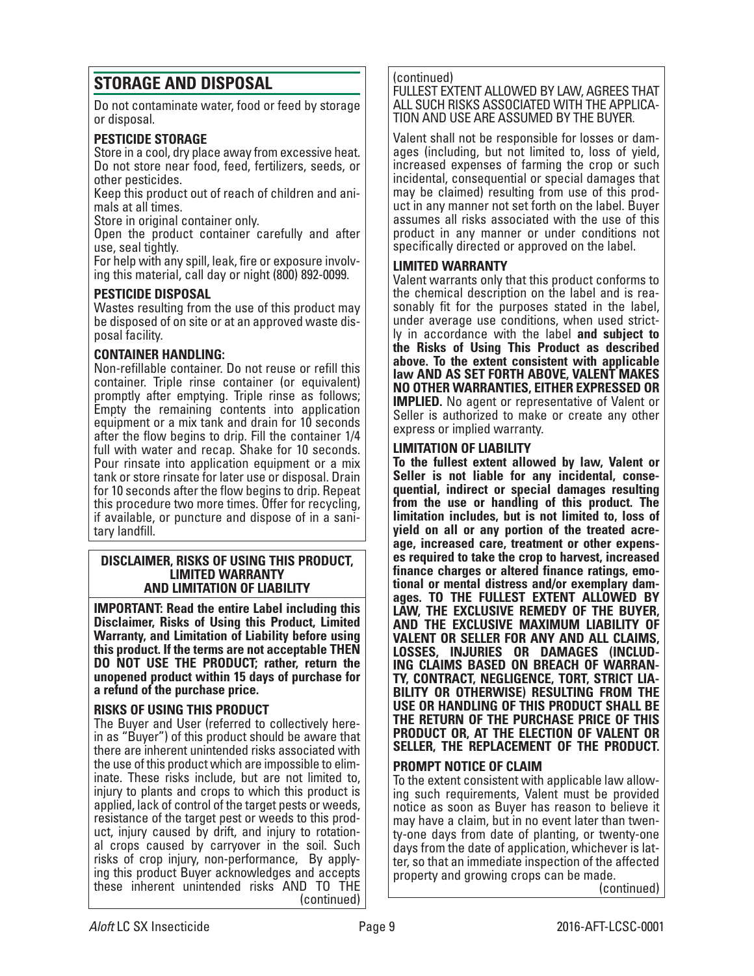# **STORAGE AND DISPOSAL**

Do not contaminate water, food or feed by storage or disposal.

## **PESTICIDE STORAGE**

Store in a cool, dry place away from excessive heat. Do not store near food, feed, fertilizers, seeds, or other pesticides.

Keep this product out of reach of children and animals at all times.

Store in original container only.

Open the product container carefully and after use, seal tightly.

For help with any spill, leak, fire or exposure involv- ing this material, call day or night (800) 892-0099.

## **PESTICIDE DISPOSAL**

Wastes resulting from the use of this product may be disposed of on site or at an approved waste disposal facility.

## **CONTAINER HANDLING:**

Non-refillable container. Do not reuse or refill this container. Triple rinse container (or equivalent) promptly after emptying. Triple rinse as follows; Empty the remaining contents into application equipment or a mix tank and drain for 10 seconds after the flow begins to drip. Fill the container 1/4 full with water and recap. Shake for 10 seconds. Pour rinsate into application equipment or a mix tank or store rinsate for later use or disposal. Drain for 10 seconds after the flow begins to drip. Repeat this procedure two more times. Offer for recycling, if available, or puncture and dispose of in a sani- tary landfill.

#### **DISCLAIMER, RISKS OF USING THIS PRODUCT, LIMITED WARRANTY AND LIMITATION OF LIABILITY**

**IMPORTANT: Read the entire Label including this Disclaimer, Risks of Using this Product, Limited Warranty, and Limitation of Liability before using this product. If the terms are not acceptable THEN DO NOT USE THE PRODUCT; rather, return the unopened product within 15 days of purchase for a refund of the purchase price.**

**RISKS OF USING THIS PRODUCT**<br>The Buyer and User (referred to collectively herein as "Buyer") of this product should be aware that there are inherent unintended risks associated with the use of this product which are impossible to eliminate. These risks include, but are not limited to, injury to plants and crops to which this product is applied, lack of control of the target pests or weeds, resistance of the target pest or weeds to this product, injury caused by drift, and injury to rotational crops caused by carryover in the soil. Such risks of crop injury, non-performance, By applying this product Buyer acknowledges and accepts these inherent unintended risks AND TO THE (continued)

#### (continued)

FULLEST EXTENT ALLOWED BY LAW, AGREES THAT ALL SUCH RISKS ASSOCIATED WITH THE APPLICA-TION AND USE ARE ASSUMED BY THE BUYER.

Valent shall not be responsible for losses or damages (including, but not limited to, loss of yield, increased expenses of farming the crop or such incidental, consequential or special damages that may be claimed) resulting from use of this product in any manner not set forth on the label. Buyer assumes all risks associated with the use of this product in any manner or under conditions not specifically directed or approved on the label.

#### **LIMITED WARRANTY**

Valent warrants only that this product conforms to the chemical description on the label and is reasonably fit for the purposes stated in the label, under average use conditions, when used strictly in accordance with the label **and subject to the Risks of Using This Product as described above. To the extent consistent with applicable law AND AS SET FORTH ABOVE, VALENT MAKES NO OTHER WARRANTIES, EITHER EXPRESSED OR IMPLIED.** No agent or representative of Valent or Seller is authorized to make or create any other express or implied warranty.

## **LIMITATION OF LIABILITY**

**To the fullest extent allowed by law, Valent or Seller is not liable for any incidental, consequential, indirect or special damages resulting from the use or handling of this product. The limitation includes, but is not limited to, loss of yield on all or any portion of the treated acre- age, increased care, treatment or other expens- es required to take the crop to harvest, increased finance charges or altered finance ratings, emo- tional or mental distress and/or exemplary dam- ages. TO THE FULLEST EXTENT ALLOWED BY LAW, THE EXCLUSIVE REMEDY OF THE BUYER, AND THE EXCLUSIVE MAXIMUM LIABILITY OF VALENT OR SELLER FOR ANY AND ALL CLAIMS, LOSSES, INJURIES OR DAMAGES (INCLUD-ING CLAIMS BASED ON BREACH OF WARRAN-TY, CONTRACT, NEGLIGENCE, TORT, STRICT LIA-BILITY OR OTHERWISE) RESULTING FROM THE USE OR HANDLING OF THIS PRODUCT SHALL BE THE RETURN OF THE PURCHASE PRICE OF THIS PRODUCT OR, AT THE ELECTION OF VALENT OR SELLER, THE REPLACEMENT OF THE PRODUCT.**

#### **PROMPT NOTICE OF CLAIM**

To the extent consistent with applicable law allowing such requirements, Valent must be provided notice as soon as Buyer has reason to believe it may have a claim, but in no event later than twenty-one days from date of planting, or twenty-one days from the date of application, whichever is latter, so that an immediate inspection of the affected property and growing crops can be made.

(continued)